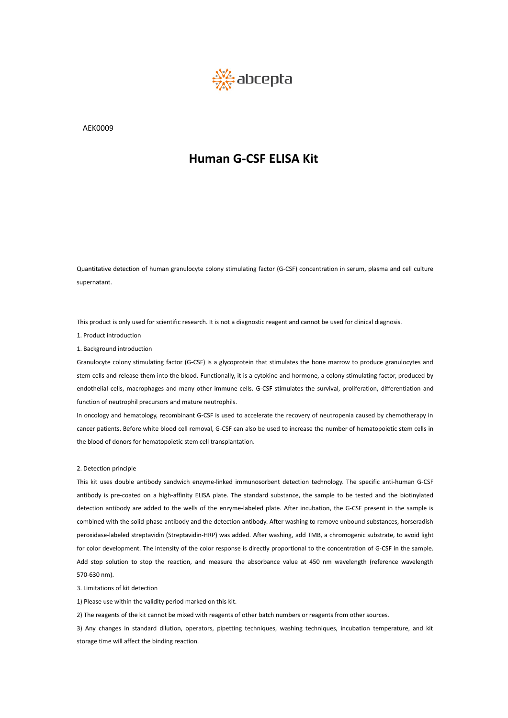

AEK0009

Quantitative detection of human granulocyte colony stimulating factor (G-CSF) concentration in serum, plasma and cell culture supernatant. Quantitative detection of human granulocyte colony stimulating factor (G-CSF) concentration in serum, plasma and cell culture<br>supernatant.<br>This product is only used for scientific research. It is not a diagnostic reagent a Quantitative detection of human granulocyte compernatant.<br>1. Product is only used for scientific research.<br>1. Product introduction<br>1. Background introduction<br>Granulocyte colony stimulating factor (G-CSF) i

Quantitative detection of human granulocyte colon<br>supernatant.<br>This product is only used for scientific research. It is<br>1. Product introduction<br>1. Background introduction<br>Granulocyte colony stimulating factor (G-CSF) is a Quantitative detection of human granulocyte colony stimulating factor (G-CSF) concentration in serum, plasma and cell culture<br>supernatant.<br>This product is only used for scientific research. It is not a diagnostic reagent a supernatant.<br>This product is only used for scientific research. It is not a diagnostic reagent and cannot be used for clinical diagnosis.<br>1. Product introduction<br>Granulocyte colony stimulating factor (G-CSF) is a glycoprot This product is only used for scientific research. It is not a diagnostic reagent and cannot be used for clinical diagnosis.<br>1. Product introduction<br>6. Background introduction<br>Granulocyte colony stimulating factor (G-CSF) This product is only used for scientific research. It is not a diagnostic readent introduction<br>1. Background introduction<br>6 Sanulocyte colony stimulating factor (G-CSF) is a glycoprotein that siftem cells and release them This product is only used for scientific research. It is not a diagnostic reagent and cannot be used for clinical diagnosis.<br>1. Product introduction<br>1. Background introduction<br>1. Background introduction<br>1. Background intro 1. Product introduction<br>1. Background introduction<br>Granulocyte colony stimulating factor (G-CSF) is a glycoprotein that stimulates the bone marrow to produce granulocytes and<br>stem cells and release them into the blood. Fun 1. Background introduction<br>Granulocyte colony stimulating factor (G-CSF) is a glycoprotein that stimuls<br>stem cells and release them into the blood. Functionally, it is a cytokine ane<br>endothelial cells, macrophages and many stem cells and release them into the blood.<br>
endothelial cells, macrophages and many o<br>
function of neutrophil precursors and mature<br>
In oncology and hematology, recombinant G<br>
cancer patients. Before white blood cell rem<br>

endothelial cells, macrophages and many other immune cells. G-CSF stimulates the survival, proliferation, differentiation and<br>function of neutrophil precursors and mature neutrophils.<br>In oncology and hematology, recombinan function of neutrophil precursors and mature neutrophils.<br>In oncology and hematology, recombinant G-CSF is used to accelerate the recovery of neutropenia caused by chemotherapy in<br>cancer patients. Before white blood cell r In oncology and hematology, recombinant G-CSF is used to accelerate the recovery of neutropenia caused by chemotherapy in<br>cancer patients. Before white blood cell removal, G-CSF can also be used to increase the number of h cancer patients. Before white blood cell removal, G-CSF can also be used to increase the number of hematopoietic stem cells in<br>the blood of donors for hematopoietic stem cell transplantation.<br>2. Detection principle<br>This ki the blood of donors for hematopoietic stem cell transplantation.<br>
2. Detection principle<br>
This kit uses double antibody sandwich enzyme-linked immunosorbent detection technology. The specific anti-human G-CSF<br>
antibody is 2. Detection principle<br>This kit uses double antibody sandwich enzyme-linked immunosorbent detection technology. The specific anti-human G-CSF<br>antibody is pre-coated on a high-affinity EUSA plate. The standard substance, th 2. Detection principle<br>This kit uses double antibody sandwich enzyme-linked immunosorbent detection technology. The specific anti-human G-CSF<br>antibody is pre-coated on a high-affinity EUSA plate. The standard substance, th This kit uses double antibody sa<br>antibody is pre-coated on a high<br>detection antibody are added to<br>combined with the solid-phase ar<br>peroxidase-labeled streptavidin (S<br>for color development. The inten:<br>Add stop solution to s antibody is pre-coated on a high-affinity ELISA plate<br>detection antibody are added to the wells of the en<br>combined with the solid-phase antibody and the dete<br>peroxidase-labeled streptavidin (Streptavidin-HRP) was<br>for color detection antibody are added to the wells of the enzyme-labeled plate. After<br>combined with the solid-phase antibody and the detection antibody. After was<br>peroxidase-labeled streptavidin (Streptavidin-HRP) was added. After combined with the solid-phase antibody and the detection antibody. After washing to remove unbound substances, horseradish<br>peroxidase-labeled streptavidin (Streptavidin-HRP) was added. After washing, add TMB, a chromogenic peroxidase-labeled streptavidin (Streptavidin-HRP) was added. After washing, add TMB, a chromogenic substrate, to avoid light<br>for color development. The intensity of the color response is directly proportional to the conce for color development. The intensity of the color response is<br>Add stop solution to stop the reaction, and measure the<br>570-630 nm).<br>3. Limitations of kit detection<br>1) Please use within the validity period marked on this kit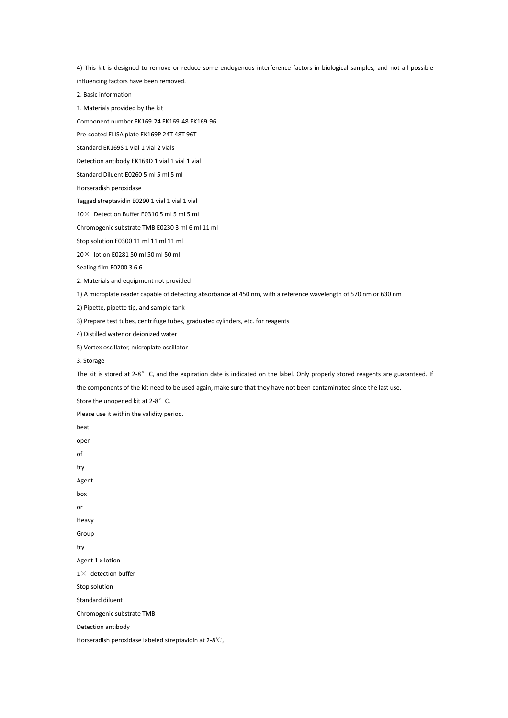4) This kit is designed to remove or reduce some endogenous interference factors in biological samples, and not all possible influencing factors have been removed.

2. Basic information

1. Materials provided by the kit

Component number EK169-24 EK169-48 EK169-96

Pre-coated ELISA plate EK169P 24T 48T 96T

Standard EK169S 1 vial 1 vial 2 vials

Detection antibody EK169D 1 vial 1 vial 1 vial

Standard Diluent E0260 5 ml 5 ml 5 ml

Horseradish peroxidase

Tagged streptavidin E0290 1 vial 1 vial 1 vial

10× Detection Buffer E0310 5 ml 5 ml 5 ml

Chromogenic substrate TMB E0230 3 ml 6 ml 11 ml

Stop solution E0300 11 ml 11 ml 11 ml

20× lotion E0281 50 ml 50 ml 50 ml

Sealing film E0200 3 6 6

2. Materials and equipment not provided

1) A microplate readercapable of detecting absorbance at 450 nm, with a reference wavelength of 570 nm or 630 nm

2) Pipette, pipette tip, and sample tank

3) Prepare test tubes, centrifuge tubes, graduated cylinders, etc. for reagents

4) Distilled water or deionized water

5) Vortex oscillator, microplate oscillator

3. Storage

The kit is stored at 2-8°C, and the expiration date is indicated on the label. Only properly stored reagents are guaranteed. If

the components of the kit need to be used again, make sure that they have not been contaminated since the last use.

Store the unopened kit at 2-8°C.

Please use it within the validity period.

beat open of try Agent box or Heavy Group try Agent 1 x lotion  $1\times$  detection buffer Stop solution Standard diluent Chromogenic substrate TMB Detection antibody Horseradish peroxidase labeled streptavidin at 2-8℃,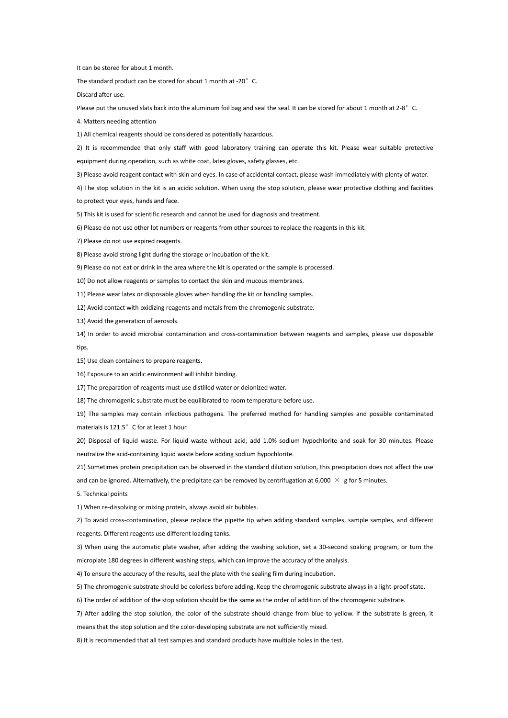It can be stored for about 1 month.

The standard product can be stored for about 1 month at -20° C.

Discard after use.<br>Please put the unused slats back into the aluminum foil bag and seal the seal. It can be stored for about 1 month at 2-8°C.

4. Matters needing attention

1) All chemical reagents should be considered as potentially hazardous.

2) It is recommended that only staff with good laboratory training can operate thiskit. Please wear suitable protective

equipment during operation, such as white coat, latex gloves, safety glasses, etc.

3) Please avoid reagent contact with skin and eyes. In case of accidental contact, please wash immediately with plenty of water.<br>4) The stop solution in the kit is an acidic solution. When using the stop solution, please w

to protect your eyes, hands and face.

5) This kit is used for scientific research and cannot be used for diagnosis and treatment.

6) Please do not use other lot numbers or reagents from other sources to replace the reagents in this kit.

7) Please do not use expired reagents.

8) Please avoid strong light during the storage or incubation of the kit.

9) Please do not eat or drink in the area where the kit is operated or the sample is processed.

10) Do not allow reagents or samples to contact the skin and mucous membranes.

11) Please wear latex or disposable gloves when handling the kit or handling samples.

12) Avoid contact with oxidizing reagents and metals from the chromogenic substrate.

13) Avoid the generation of aerosols.

14) In order to avoid microbial contamination and cross-contamination between reagents and samples, please use disposable tips.

15) Use clean containers to prepare reagents.

16) Exposure to an acidic environment will inhibit binding.

17) The preparation of reagents must use distilled water or deionized water.

18) The chromogenic substrate must be equilibrated to room temperature before use.

19) The samples may contain infectious pathogens. The preferred method for handling samples and possible contaminated materials is 121.5° C for at least 1 hour.

20) Disposal of liquid waste. For liquid waste without acid, add 1.0% sodium hypochlorite and soak for 30 minutes. Please neutralize the acid-containing liquid waste before adding sodium hypochlorite.

21) Sometimes protein precipitation can be observed in the standard dilution solution, this precipitation does not affect the use and can be ignored. Alternatively, the precipitate can be removed by centrifugation at 6,000  $\times$  g for 5 minutes.

5. Technical points

1) When re-dissolving or mixing protein, always avoid air bubbles.

2) To avoid cross-contamination, please replace the pipette tip when adding standard samples, sample samples, and different reagents. Different reagents use different loading tanks.

3) When using the automatic plate washer, after adding the washing solution, set a 30-second soaking program, or turn the microplate 180 degrees in different washing steps, which can improve the accuracy of the analysis.

4) To ensure the accuracy of the results, seal the plate with the sealing film during incubation.

5) The chromogenic substrate should be colorless before adding. Keep the chromogenic substrate always in a light-proof state.

6) The order of addition of the stop solution should be the same as the order of addition of the chromogenic substrate.

7) After adding the stop solution, the color of the substrate should change from blue to yellow. If the substrate is green, it

means that the stop solution and the color-developing substrate are not sufficiently mixed.

8) It is recommended that all test samples and standard products have multiple holes in the test.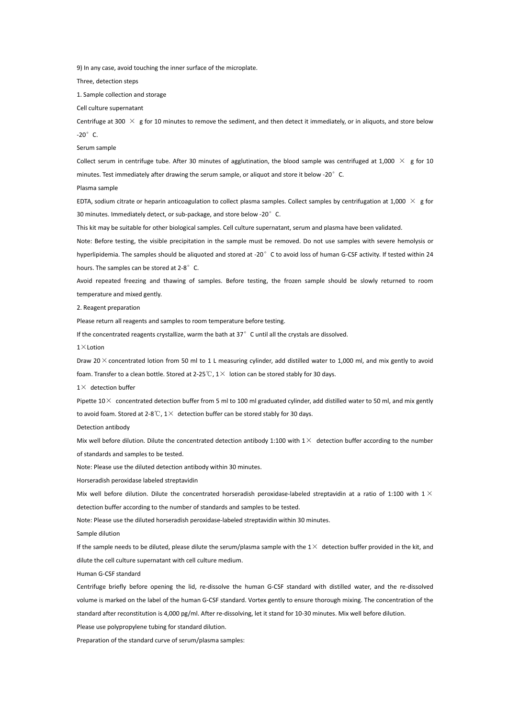9) In any case, avoid touching the inner surface of the microplate.

Three, detection steps

1. Sample collection and storage

Cell culture supernatant

Centrifuge at 300  $\times$  g for 10 minutes to remove the sediment, and then detect it immediately, or in aliquots, and store below  $-20^\circ$  C.

# Serum sample

Collect serum in centrifuge tube. After 30 minutes of agglutination, the blood sample was centrifuged at 1,000  $\times$  g for 10 minutes. Test immediately after drawing the serum sample, or aliquot and store it below -20°C.

Plasma sample

EDTA, sodium citrate or heparin anticoagulation to collect plasma samples. Collect samples by centrifugation at 1,000  $\times$  g for 30 minutes. Immediately detect, or sub-package, and store below -20° C.

This kit may be suitable for other biological samples. Cell culture supernatant, serum and plasma have been validated.

Note: Before testing, the visible precipitation in the sample must be removed. Do not use samples with severe hemolysis or hyperlipidemia. The samples should be aliquoted and stored at -20° C to avoid loss of human G-CSF activity. If tested within 24 hours. The samples can be stored at 2-8°C.

Avoid repeated freezing and thawing of samples. Before testing, the frozen sample should be slowly returned to room temperature and mixed gently.

2. Reagent preparation

Please return all reagents and samples to room temperature before testing.

If the concentrated reagents crystallize, warm the bath at  $37°$  C until all the crystals are dissolved.

1×Lotion

Draw 20 $\times$  concentrated lotion from 50 ml to 1 L measuring cylinder, add distilled water to 1,000 ml, and mix gently to avoid foam. Transfer to a clean bottle. Stored at 2-25  $\mathbb{C}$ , 1 $\times$  lotion can be stored stably for 30 days.

 $1\times$  detection buffer

Pipette  $10\times$  concentrated detection buffer from 5 ml to 100 ml graduated cylinder, add distilled water to 50 ml, and mix gently to avoid foam. Stored at 2-8°C,  $1\times$  detection buffer can be stored stably for 30 days.

Detection antibody

Mix well before dilution. Dilute the concentrated detection antibody 1:100 with  $1\times$  detection buffer according to the number of standards and samples to be tested.

Note: Please use the diluted detection antibody within 30 minutes.

Horseradish peroxidase labeled streptavidin

Mix well before dilution. Dilute the concentrated horseradish peroxidase-labeled streptavidin at a ratio of 1:100 with  $1 \times$ detection buffer according to the number of standards and samples to be tested.

Note: Please use the diluted horseradish peroxidase-labeled streptavidin within 30 minutes.

Sample dilution

If the sample needs to be diluted, please dilute the serum/plasma sample with the  $1\times$  detection buffer provided in the kit, and dilute the cell culture supernatant with cell culture medium.

Human G-CSF standard

Centrifuge briefly before opening the lid, re-dissolve the human G-CSF standard with distilled water, and the re-dissolved volume is marked on the label of the human G-CSF standard. Vortex gently to ensure thorough mixing. The concentration of the standard after reconstitution is 4,000 pg/ml. After re-dissolving, let it stand for 10-30 minutes. Mix well before dilution.

Please use polypropylene tubing for standard dilution.

Preparation of the standard curve of serum/plasma samples: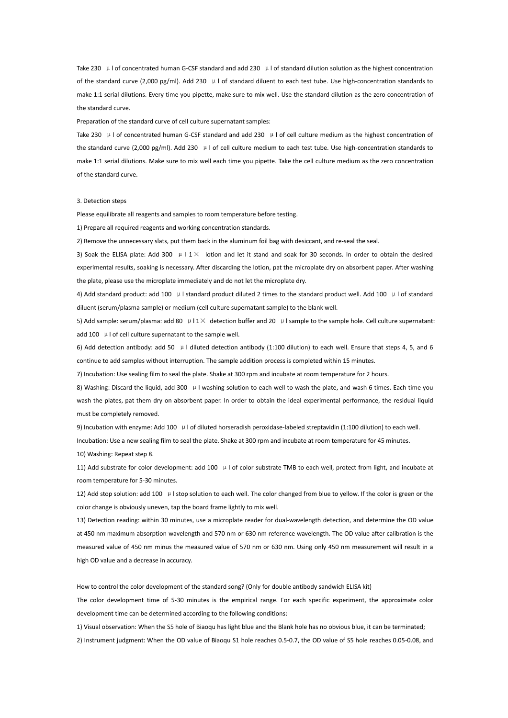Take 230  $\mu$  I of concentrated human G-CSF standard and add 230  $\mu$  I of standard dilution solution as the highest concentration of the standard curve (2,000 pg/ml). Add 230 μl of standard diluent to each test tube. Use high-concentration standards to make 1:1 serial dilutions. Every time you pipette, make sure to mix well. Use the standard dilution as the zero concentration of the standard curve.

Preparation of the standard curve of cell culture supernatant samples:

Take 230 μl of concentrated human G-CSF standard and add 230 μl of cell culture medium as the highest concentration of the standard curve (2,000 pg/ml). Add 230 μl of cell culture medium to each test tube. Use high-concentration standards to make 1:1 serial dilutions. Make sure to mix well each time you pipette. Take the cell culture medium as the zero concentration of the standard curve.

## 3. Detection steps

Please equilibrate all reagents and samples to room temperature before testing.

1) Prepare all required reagents and working concentration standards.

2) Remove the unnecessary slats, put them back in the aluminum foil bag with desiccant, and re-seal the seal.

3) Soak the ELISA plate: Add 300  $\mu$  I 1  $\times$  lotion and let it stand and soak for 30 seconds. In order to obtain the desired experimental results, soaking is necessary. After discarding the lotion, pat the microplate dry on absorbent paper. After washing the plate, please use the microplate immediately and do not let the microplate dry.

4) Add standard product: add 100 μl standard product diluted 2 times to the standard product well. Add 100 μl of standard

diluent (serum/plasma sample) or medium (cell culture supernatant sample) to the blank well.<br>5) Add sample: serum/plasma: add 80  $\mu$  l 1× detection buffer and 20  $\mu$  l sample to the sample hole. Cell culture supernatant add 100 μl of cell culture supernatant to the sample well.

6) Add detection antibody: add 50 μl diluted detection antibody (1:100 dilution) to each well. Ensure that steps 4, 5, and 6 continue to add samples without interruption. The sample addition process is completed within 15 minutes.

7) Incubation: Use sealing film to seal the plate. Shake at 300 rpm and incubate at room temperature for 2 hours.

8) Washing: Discard the liquid, add 300 μl washing solution to each well to wash the plate, and wash 6 times. Each time you wash the plates, pat them dry on absorbent paper. In order to obtain the ideal experimental performance, the residual liquid must be completely removed.

9) Incubation with enzyme: Add 100 μl of diluted horseradish peroxidase-labeled streptavidin (1:100 dilution) to each well.

Incubation: Use a new sealing film to seal the plate. Shake at 300 rpm and incubate at room temperature for 45 minutes. 10) Washing: Repeat step 8.

11) Add substrate for color development: add 100  $\mu$  | of color substrate TMB to each well, protect from light, and incubate at room temperature for 5-30 minutes.

12) Add stop solution: add 100 μl stop solution to each well. The color changed from blue to yellow. If the color is green or the color change is obviously uneven, tap the board frame lightly to mix well.

13) Detection reading: within 30 minutes, use a microplate reader for dual-wavelength detection, and determine the OD value at 450 nm maximum absorption wavelength and 570 nm or 630 nm reference wavelength. The OD value after calibration is the measured value of 450 nm minus the measured value of 570 nm or 630 nm. Using only 450 nm measurement will result in a high OD value and a decrease in accuracy.

How to control the color development of the standard song? (Only for double antibody sandwich ELISA kit) The color development time of 5-30 minutes is the empirical range. For each specific experiment, the approximate color development time can be determined according to the following conditions:

1) Visual observation: When the S5 hole of Biaoqu has light blue and the Blank hole has no obvious blue, it can be terminated;

2) Instrument judgment: When the OD value of Biaoqu S1 hole reaches 0.5-0.7, the OD value of S5 hole reaches 0.05-0.08, and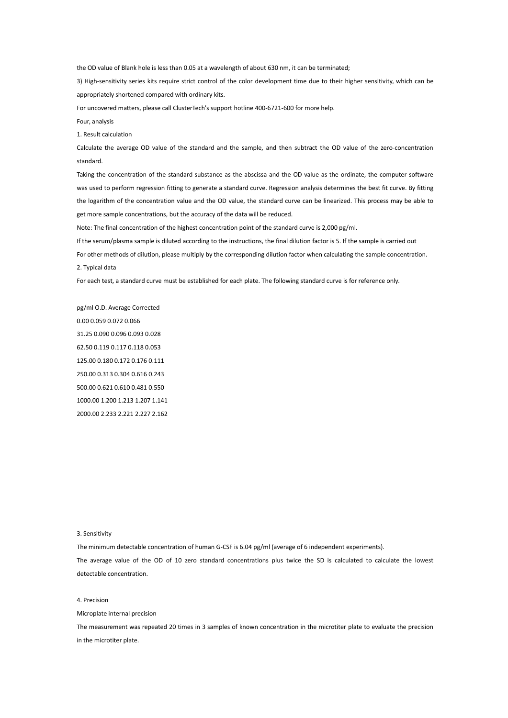the OD value of Blank hole is less than 0.05 at a wavelength of about 630 nm, it can be terminated;

3) High-sensitivity series kits require strict control of the color development time due to their higher sensitivity, which can be appropriately shortened compared with ordinary kits.

For uncovered matters, please call ClusterTech's support hotline 400-6721-600 for more help.

Four, analysis

1. Result calculation

Calculate the average OD value of the standard and the sample, and then subtract the OD value of the zero-concentration standard.

Taking the concentration of the standard substance as the abscissa and the OD value as the ordinate, the computer software was used to perform regression fitting to generate a standard curve. Regression analysis determines the best fit curve. By fitting the logarithm of the concentration value and the OD value, the standard curve can be linearized. This process may be able to get more sample concentrations, but the accuracy of the data will be reduced.

Note: The final concentration of the highest concentration point of the standard curve is 2,000 pg/ml.

If the serum/plasma sample is diluted according to the instructions, the final dilution factor is 5.If the sample is carried out

For other methods of dilution, please multiply by the corresponding dilution factor when calculating the sample concentration. 2. Typical data

For each test, a standard curve must be established for each plate. The following standard curve is for reference only.

pg/ml O.D. Average Corrected 0.00 0.059 0.072 0.066 31.25 0.090 0.096 0.093 0.028 62.50 0.119 0.117 0.118 0.053 125.00 0.180 0.172 0.176 0.111 250.00 0.313 0.304 0.616 0.243 500.00 0.621 0.610 0.481 0.550 1000.00 1.200 1.213 1.207 1.141 2000.00 2.233 2.221 2.227 2.162

## 3. Sensitivity

The minimum detectable concentration of human G-CSF is 6.04 pg/ml (average of 6 independent experiments).

The average value of the OD of 10 zero standard concentrations plus twice the SD is calculated to calculate the lowest detectable concentration.

# 4. Precision

Microplate internal precision

The measurement was repeated 20 times in 3 samples of known concentration in the microtiter plate to evaluate the precision in the microtiter plate.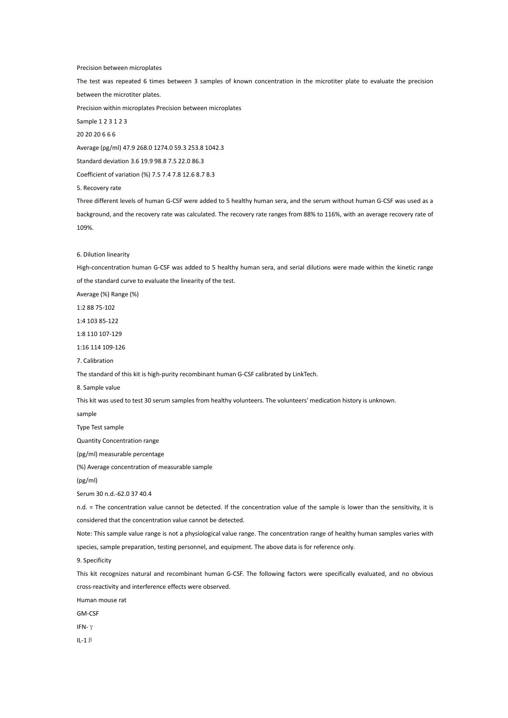## Precision between microplates

The test was repeated 6 times between 3 samples of known concentration in the microtiter plate to evaluate the precision between the microtiter plates.

Precision within microplates Precision between microplates

Sample 1 2 3 1 2 3

20 20 20 6 6 6

Average (pg/ml) 47.9 268.0 1274.0 59.3 253.8 1042.3

Standard deviation 3.6 19.9 98.8 7.5 22.0 86.3

Coefficient of variation (%) 7.5 7.4 7.8 12.6 8.7 8.3

5. Recovery rate

Three different levels of human G-CSF were added to 5 healthy human sera, and the serum without human G-CSF was used as a background, and the recovery rate was calculated. The recovery rate ranges from 88% to 116%, with an average recovery rate of 109%.

### 6. Dilution linearity

High-concentration human G-CSF was added to 5 healthy human sera, and serial dilutions were made within the kinetic range of the standard curve to evaluate the linearity of the test.

Average (%) Range (%)

1:2 88 75-102

1:4 103 85-122

1:8 110 107-129

1:16 114 109-126

7. Calibration

The standard of this kit is high-purity recombinant human G-CSF calibrated by LinkTech.<br>8. Sample value

This kit was used to test 30 serum samples from healthy volunteers. The volunteers' medication history is unknown.

sample

Type Test sample

Quantity Concentration range

(pg/ml) measurable percentage

(%) Average concentration of measurable sample

(pg/ml)

Serum 30 n.d.-62.0 37 40.4

n.d. = The concentration value cannot be detected. If the concentration value of the sample is lower than the sensitivity, it is considered that the concentration value cannot be detected.

Note: This sample value range is not a physiological value range. The concentration range of healthy human samples varies with

species, sample preparation, testing personnel, and equipment. The above data is for reference only.

9. Specificity

This kit recognizes natural and recombinant human G-CSF. The following factors were specifically evaluated, and no obvious cross-reactivity and interference effects were observed.

Human mouse rat

GM-CSF

IFN-γ

IL-1β